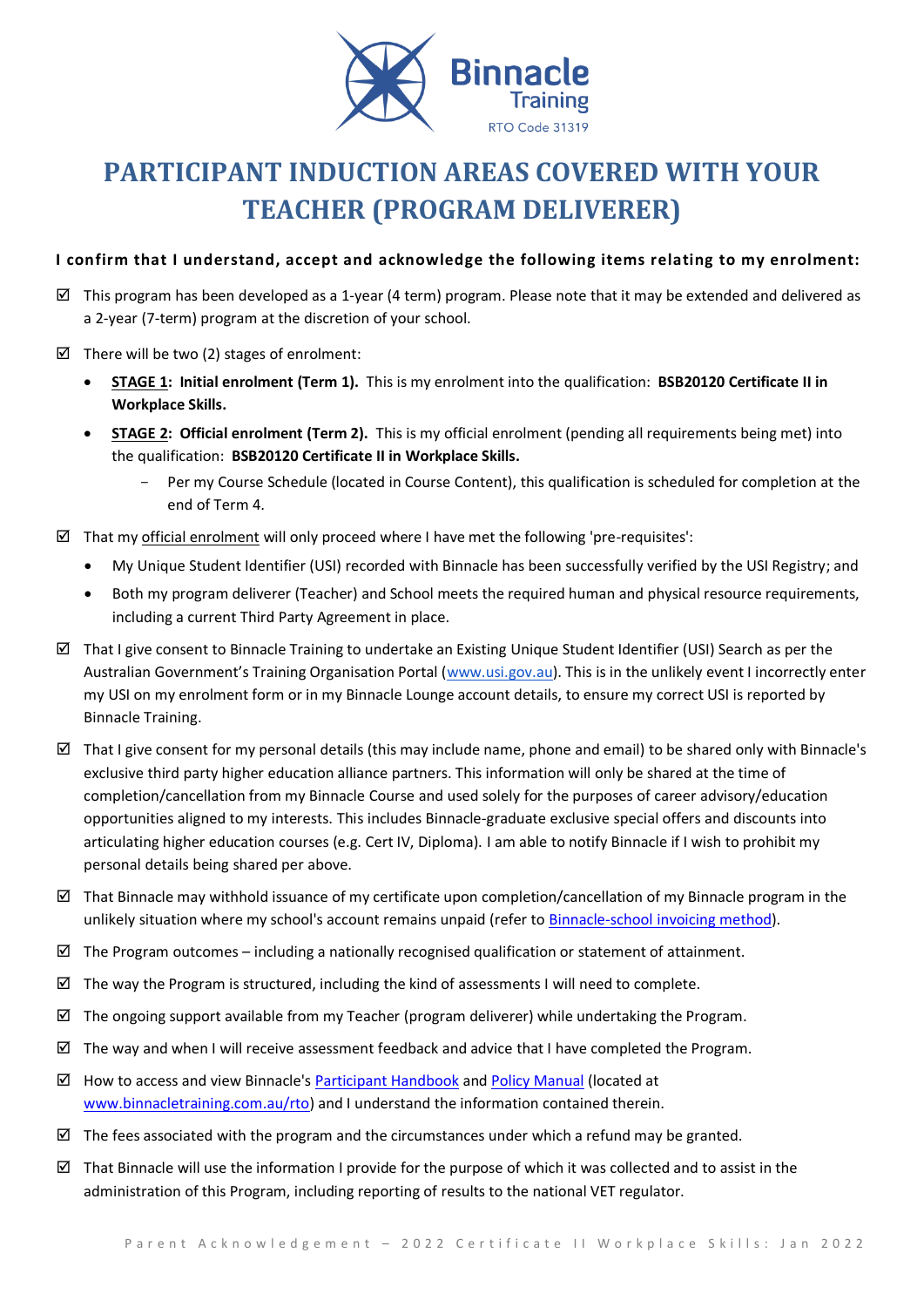

# **PARTICIPANT INDUCTION AREAS COVERED WITH YOUR TEACHER (PROGRAM DELIVERER)**

# **I confirm that I understand, accept and acknowledge the following items relating to my enrolment:**

- $\boxtimes$  This program has been developed as a 1-year (4 term) program. Please note that it may be extended and delivered as a 2-year (7-term) program at the discretion of your school.
- $\boxtimes$  There will be two (2) stages of enrolment:
	- **STAGE 1: Initial enrolment (Term 1).** This is my enrolment into the qualification: **BSB20120 Certificate II in Workplace Skills.**
	- **STAGE 2: Official enrolment (Term 2).** This is my official enrolment (pending all requirements being met) into the qualification: **BSB20120 Certificate II in Workplace Skills.**
		- Per my Course Schedule (located in Course Content), this qualification is scheduled for completion at the end of Term 4.
- $\boxtimes$  That my official enrolment will only proceed where I have met the following 'pre-requisites':
	- My Unique Student Identifier (USI) recorded with Binnacle has been successfully verified by the USI Registry; and
	- Both my program deliverer (Teacher) and School meets the required human and physical resource requirements, including a current Third Party Agreement in place.
- $\boxtimes$  That I give consent to Binnacle Training to undertake an Existing Unique Student Identifier (USI) Search as per the Australian Government's Training Organisation Portal ([www.usi.gov.au\)](http://www.usi.gov.au/). This is in the unlikely event I incorrectly enter my USI on my enrolment form or in my Binnacle Lounge account details, to ensure my correct USI is reported by Binnacle Training.
- $\boxtimes$  That I give consent for my personal details (this may include name, phone and email) to be shared only with Binnacle's exclusive third party higher education alliance partners. This information will only be shared at the time of completion/cancellation from my Binnacle Course and used solely for the purposes of career advisory/education opportunities aligned to my interests. This includes Binnacle-graduate exclusive special offers and discounts into articulating higher education courses (e.g. Cert IV, Diploma). I am able to notify Binnacle if I wish to prohibit my personal details being shared per above.
- $\boxtimes$  That Binnacle may withhold issuance of my certificate upon completion/cancellation of my Binnacle program in the unlikely situation where my school's account remains unpaid (refer t[o Binnacle-school invoicing](https://www.binnacletraining.com.au/for-schools/pricing/) method).
- $\boxtimes$  The Program outcomes including a nationally recognised qualification or statement of attainment.
- $\boxtimes$  The way the Program is structured, including the kind of assessments I will need to complete.
- $\boxtimes$  The ongoing support available from my Teacher (program deliverer) while undertaking the Program.
- $\boxtimes$  The way and when I will receive assessment feedback and advice that I have completed the Program.
- $\boxtimes$  How to access and view Binnacle's [Participant Handbook](http://www.binnacletraining.com.au/rto.php) an[d Policy Manual](http://www.binnacletraining.com.au/rto.php) (located at [www.binnacletraining.com.au/rto\)](http://www.binnacletraining.com.au/rto) and I understand the information contained therein.
- $\boxtimes$  The fees associated with the program and the circumstances under which a refund may be granted.
- That Binnacle will use the information I provide for the purpose of which it was collected and to assist in the administration of this Program, including reporting of results to the national VET regulator.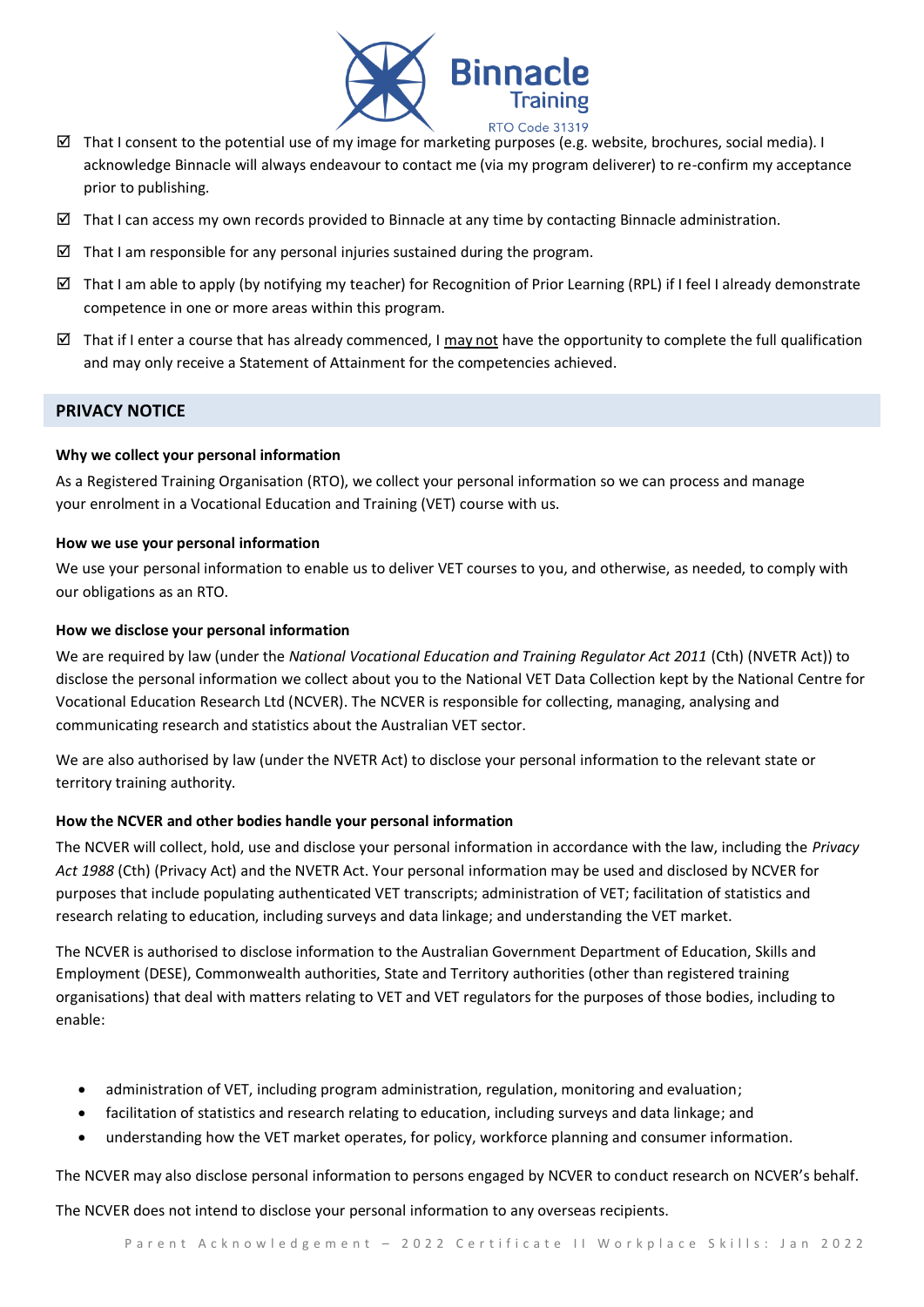

- That I consent to the potential use of my image for marketing purposes (e.g. website, brochures, social media). I acknowledge Binnacle will always endeavour to contact me (via my program deliverer) to re-confirm my acceptance prior to publishing.
- $\boxtimes$  That I can access my own records provided to Binnacle at any time by contacting Binnacle administration.
- $\boxtimes$  That I am responsible for any personal injuries sustained during the program.
- That I am able to apply (by notifying my teacher) for Recognition of Prior Learning (RPL) if I feel I already demonstrate competence in one or more areas within this program.
- That if I enter a course that has already commenced, I may not have the opportunity to complete the full qualification and may only receive a Statement of Attainment for the competencies achieved.

## **PRIVACY NOTICE**

## **Why we collect your personal information**

As a Registered Training Organisation (RTO), we collect your personal information so we can process and manage your enrolment in a Vocational Education and Training (VET) course with us.

## **How we use your personal information**

We use your personal information to enable us to deliver VET courses to you, and otherwise, as needed, to comply with our obligations as an RTO.

## **How we disclose your personal information**

We are required by law (under the *National Vocational Education and Training Regulator Act 2011* (Cth) (NVETR Act)) to disclose the personal information we collect about you to the National VET Data Collection kept by the National Centre for Vocational Education Research Ltd (NCVER). The NCVER is responsible for collecting, managing, analysing and communicating research and statistics about the Australian VET sector.

We are also authorised by law (under the NVETR Act) to disclose your personal information to the relevant state or territory training authority.

## **How the NCVER and other bodies handle your personal information**

The NCVER will collect, hold, use and disclose your personal information in accordance with the law, including the *Privacy Act 1988* (Cth) (Privacy Act) and the NVETR Act. Your personal information may be used and disclosed by NCVER for purposes that include populating authenticated VET transcripts; administration of VET; facilitation of statistics and research relating to education, including surveys and data linkage; and understanding the VET market.

The NCVER is authorised to disclose information to the Australian Government Department of Education, Skills and Employment (DESE), Commonwealth authorities, State and Territory authorities (other than registered training organisations) that deal with matters relating to VET and VET regulators for the purposes of those bodies, including to enable:

- administration of VET, including program administration, regulation, monitoring and evaluation;
- facilitation of statistics and research relating to education, including surveys and data linkage; and
- understanding how the VET market operates, for policy, workforce planning and consumer information.

The NCVER may also disclose personal information to persons engaged by NCVER to conduct research on NCVER's behalf.

The NCVER does not intend to disclose your personal information to any overseas recipients.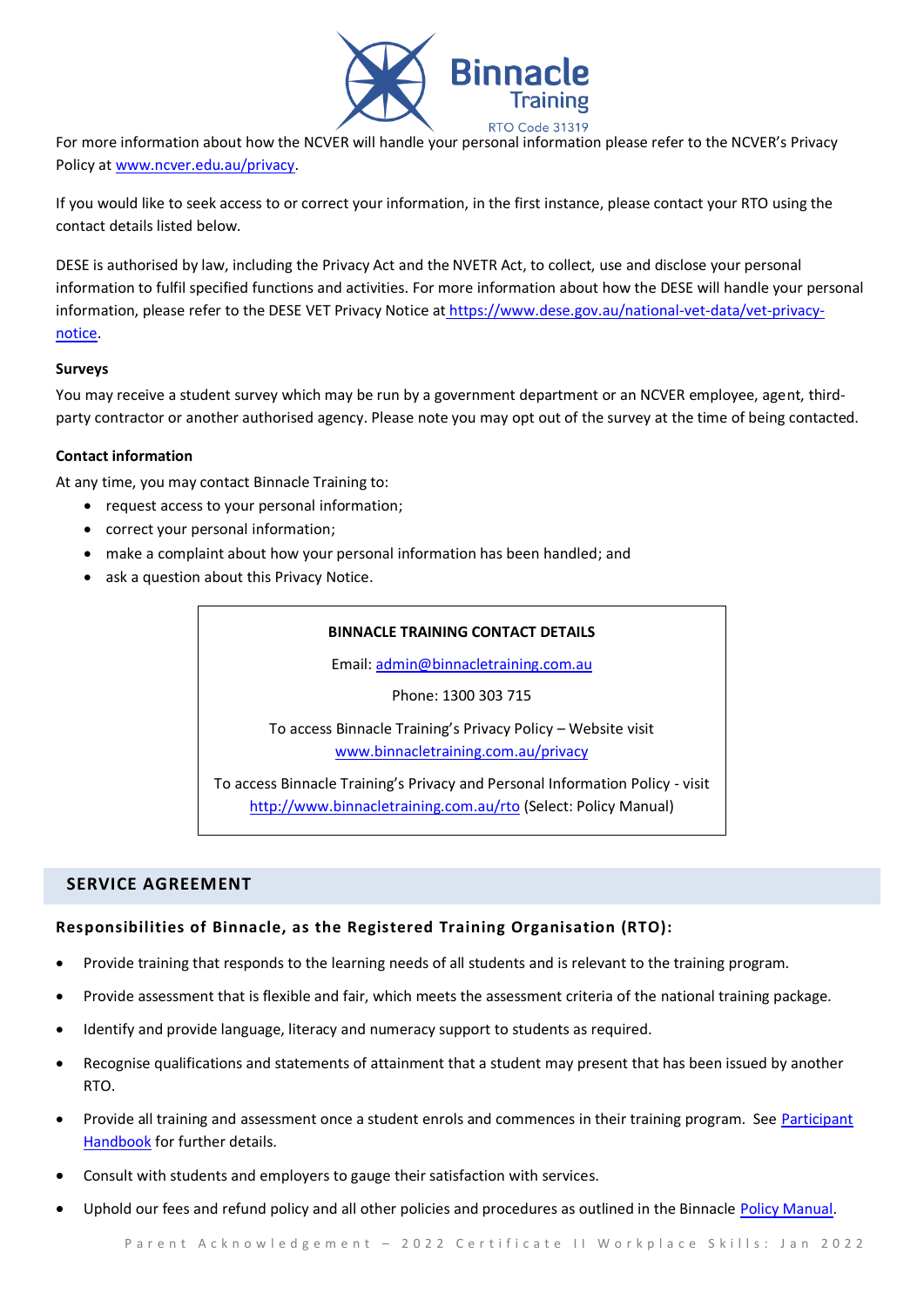

For more information about how the NCVER will handle your personal information please refer to the NCVER's Privacy Policy a[t www.ncver.edu.au/privacy.](http://www.ncver.edu.au/privacy)

If you would like to seek access to or correct your information, in the first instance, please contact your RTO using the contact details listed below.

DESE is authorised by law, including the Privacy Act and the NVETR Act, to collect, use and disclose your personal information to fulfil specified functions and activities. For more information about how the DESE will handle your personal information, please refer to the DESE VET Privacy Notice at [https://www.dese.gov.au/national-vet-data/vet-privacy](https://www.dese.gov.au/national-vet-data/vet-privacy-notice)[notice.](https://www.dese.gov.au/national-vet-data/vet-privacy-notice)

# **Surveys**

You may receive a student survey which may be run by a government department or an NCVER employee, agent, thirdparty contractor or another authorised agency. Please note you may opt out of the survey at the time of being contacted.

# **Contact information**

At any time, you may contact Binnacle Training to:

- request access to your personal information;
- correct your personal information;
- make a complaint about how your personal information has been handled; and
- ask a question about this Privacy Notice.

## **BINNACLE TRAINING CONTACT DETAILS**

Email: [admin@binnacletraining.com.au](mailto:admin@binnacletraining.com.au)

Phone: 1300 303 715

To access Binnacle Training's Privacy Policy – Website visit [www.binnacletraining.com.au/privacy](http://www.binnacletraining.com.au/privacy)

To access Binnacle Training's Privacy and Personal Information Policy - visit <http://www.binnacletraining.com.au/rto> (Select: Policy Manual)

# **SERVICE AGREEMENT**

# **Responsibilities of Binnacle, as the Registered Training Organisation (RTO):**

- Provide training that responds to the learning needs of all students and is relevant to the training program.
- Provide assessment that is flexible and fair, which meets the assessment criteria of the national training package.
- Identify and provide language, literacy and numeracy support to students as required.
- Recognise qualifications and statements of attainment that a student may present that has been issued by another RTO.
- Provide all training and assessment once a student enrols and commences in their training program. See [Participant](http://www.binnacletraining.com.au/rto.php)  [Handbook](http://www.binnacletraining.com.au/rto.php) for further details.
- Consult with students and employers to gauge their satisfaction with services.
- Uphold our fees and refund policy and all other policies and procedures as outlined in the Binnacle [Policy Manual.](http://www.binnacletraining.com.au/rto.php)